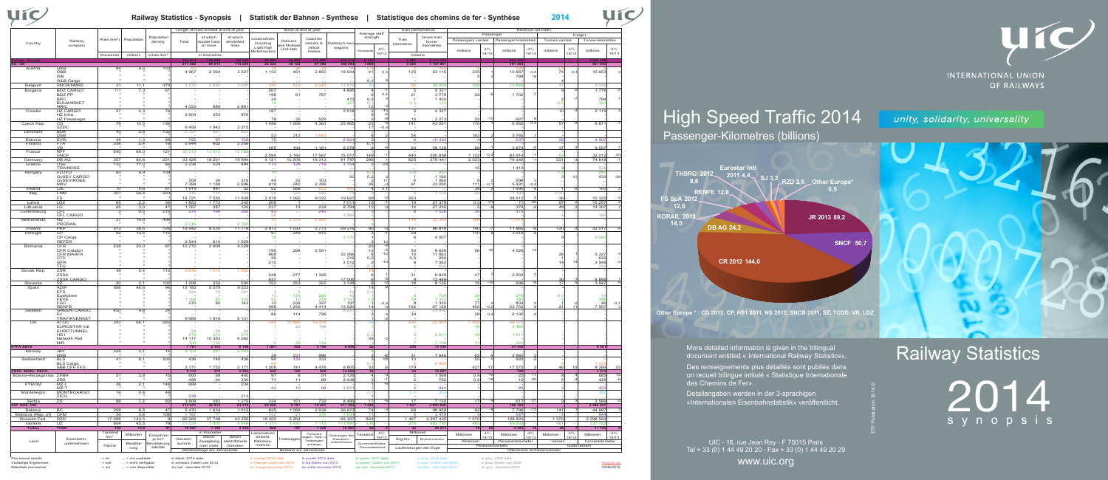## Railway Statistics

2014 synopsis



#### **Railway Statistics - Synopsis | Statistik der Bahnen - Synthese | Statistique des chemins de fer - Synthèse 2014**

ETF Publication 2014 ©

More detailed information is given in the trilingual document entitled « International Railway Statistics».

# High Speed Traffic 2014

### Passenger-Kilometres (billions)

Des renseignements plus détaillés sont publiés dans un recueil trilingue intitulé « Statistique Internationale

des Chemins de Fer».

Vorläufige Ergebnisse - Fill ... = nicht verfügbar in schwarz: Daten von 2014 in Orange Daten von 2013 in lila Daten von 2012 in grüne : Daten von 2011 in blau: Daten von 2010 in grau: Daten von 2019 Résultats provisoires - nul ... = non disponible en noir : données 2014 en orange données 2013 en violet données 2012 en vert : données 2011 en bleu : données 2010 en gris : données 2009

Provisional results - mil. ... = not available in black: 2014 data in orange 2013 data in purple 2012 data in green: 2011 data in blue: 2010 data in grey: 2009 data

Detailangaben werden in der 3-sprachigen «Internationalen Eisenbahnstatistik» veröffentlicht.

UIC - 16, rue Jean Rey - F 75015 Paris Tel + 33 (0) 1 44 49 20 20 - Fax + 33 (0) 1 44 49 20 29

www.uic.org

### unity, solidarity, universality



|                                   |                                    |                         |                  |                                  |                  | Length of lines worked at end of year |                         |                             | Stock at end of year  |                          |                            | Train performance                     |            |                         | Revenue rail traffic |                    |              |                      |                |                              |            |                          |            |
|-----------------------------------|------------------------------------|-------------------------|------------------|----------------------------------|------------------|---------------------------------------|-------------------------|-----------------------------|-----------------------|--------------------------|----------------------------|---------------------------------------|------------|-------------------------|----------------------|--------------------|--------------|----------------------|----------------|------------------------------|------------|--------------------------|------------|
|                                   |                                    |                         |                  |                                  |                  |                                       |                         |                             |                       |                          |                            | Average staff                         |            | Gross train             |                      |                    | Passenger    |                      |                | Freight                      |            |                          |            |
|                                   | Railway                            | Area (km <sup>2</sup> ) | Population       | Population<br>density            | Total            | of which<br>double track              | of which<br>electrified | ocomotives                  | Railcars              | Coaches                  |                            | strength                              |            | Train                   | tonne-               | Passengers carried |              | Passenger-kilometres |                | Tonnes carried               |            | Tonne-kilometres         |            |
| Country                           | company                            |                         |                  |                                  |                  | or more                               | lines                   | including                   | nd Multiple           | railcars &               | <b>Railwav's ow</b>        |                                       |            | kilometres              | kilometres           |                    |              |                      |                |                              |            |                          |            |
|                                   |                                    |                         |                  |                                  |                  |                                       |                         | Light Rail<br>Aotortractors | Unit-sets             | railcar<br>trailers      | wagons                     | thousand                              | $\Delta%$  |                         |                      | millions           | $\Delta^{0}$ | millions             | $\Delta\%$     | millions                     | $\Delta\%$ | millions                 | $\Delta\%$ |
|                                   |                                    | thousands               | millions         | inhab./km                        |                  | in kilometres                         |                         |                             |                       |                          |                            |                                       | 14/13      | millions                |                      |                    | 14/13        |                      | 14/13          |                              | 14/13      |                          | 14/13      |
|                                   |                                    |                         |                  |                                  |                  |                                       |                         |                             |                       |                          |                            |                                       |            |                         |                      |                    |              |                      |                |                              |            |                          |            |
| EU / UE                           |                                    |                         |                  |                                  | 211 462          | 89 013                                | 114 248                 | 22 3 44                     | 38 122                | 97 366                   | 368884                     | 1 0 6 9                               |            | 3 4 2 5                 | 1 167 86             |                    |              | 391 394              |                |                              |            | 261 054                  |            |
| Austria                           | GKB<br>ÖBB                         | 84                      | 8,5              | 103                              | 4 9 6 7          |                                       | 3 5 2                   | 1 1 0 3                     | 461                   | 2 8 5 0                  | 18 54                      |                                       | 0.         |                         | 63 115               | 235                |              |                      |                | 74                           | 0,3        |                          |            |
|                                   | WB                                 |                         |                  |                                  |                  | 2 0 6 4                               |                         |                             |                       |                          |                            | 41                                    |            | 125                     |                      |                    |              | 10 667<br>789        | 0,4            |                              |            | 15 653                   |            |
|                                   | WLB Cargo                          |                         |                  |                                  |                  |                                       |                         | $\cdots$                    | $\cdots$              | $\ldots$                 |                            | 0.                                    |            | $\ldots$                |                      |                    |              |                      |                |                              |            |                          |            |
| Belgium                           | SNCB/NMBS                          | 31                      | 11,1             | 370                              | 3578             | 2 6 9 2                               | 3 0 0                   | 376                         | 812                   | 2 3 4 5                  | 11 61                      |                                       |            | 95                      | 39 90                | 229                |              | 10 84                |                |                              |            | 5 4 3!                   |            |
| Bulgaria                          | <b>BDZ CARGO</b>                   | 111                     | 7,3              | 67                               |                  |                                       |                         | 207                         |                       |                          | 4 8 9 5                    |                                       |            | 5                       | 4 3 2                |                    |              |                      |                |                              |            | 1 7 7 8                  |            |
|                                   | <b>BDZ PP</b>                      |                         |                  |                                  |                  |                                       |                         | 198                         | 81                    | 767                      |                            |                                       | $\Omega$   | 21                      | 3779                 | 25                 |              | 1702                 |                |                              |            |                          |            |
|                                   | <b>BRC</b>                         |                         |                  |                                  |                  |                                       |                         | 34                          |                       |                          | 413                        | 0,3                                   |            |                         | 1 4 2 4              |                    |              |                      |                |                              |            | 794                      |            |
|                                   | <b>BULMARKET</b>                   |                         |                  |                                  |                  |                                       |                         | 14                          |                       |                          | 22                         | $\Omega$                              |            | 0,3                     | 12                   |                    |              |                      |                | $\Omega$                     |            | 123                      |            |
|                                   | <b>NRIC</b>                        |                         |                  |                                  | 4 0 2 3          | 989                                   | 286'                    |                             |                       |                          |                            | -12                                   |            |                         |                      |                    |              |                      |                |                              |            |                          |            |
| Croatia                           | <b>HZ CARGO</b><br>HZ Infra        | 57                      | 4,3              | 76                               | 2604             | 253                                   | 970                     | 187                         |                       |                          | 5 5 18                     |                                       |            | 5                       | 4 3 2 7              |                    |              |                      |                | 1 <sup>C</sup>               |            | 2 119                    |            |
|                                   | <b>HZ Passenger</b>                |                         |                  |                                  |                  |                                       |                         | 79                          | 35                    | 529                      |                            |                                       |            | 15                      | 2 2 7                | -22                |              | 927                  |                |                              |            |                          |            |
| Czech Rep.                        | CD                                 | 79                      | 10,5             | 136                              |                  |                                       |                         | 1496                        | 1 0 5 9               | 4 3 6 3                  | 25 965                     | 23                                    |            | 141                     | 43 55                | 170                |              | 6952                 | 0.4            | 57                           |            | 987                      |            |
|                                   | <b>SZDC</b>                        |                         |                  |                                  | 9456             | 1942                                  | 3 2 1 5                 |                             |                       |                          |                            | 17                                    | $-0.$      |                         |                      |                    |              |                      |                |                              |            |                          |            |
| Denmark                           | <b>BDK</b>                         | 43                      | 5,6              | 132                              | 2 1 3 1          | 927                                   | 62                      |                             |                       |                          |                            |                                       |            |                         |                      |                    |              |                      |                |                              |            |                          |            |
|                                   | <b>DSB</b>                         |                         |                  |                                  |                  |                                       |                         | 53                          | 312                   | 1.983                    |                            |                                       |            | 54                      |                      | 163                |              | 5765                 |                |                              |            |                          |            |
| Estonia                           | <b>EVR</b>                         | 45                      | 1,3              | 29                               | 792              | 97                                    | 13                      | 75                          |                       |                          | 293                        |                                       |            |                         | 10 32                |                    |              | $23^{\circ}$         |                | 20                           |            | 4 80                     |            |
| Finland                           | <b>FTA</b><br>VR.                  | 338                     | 5.4              | 18                               | 5944             | 602                                   | 3 2 5 6                 | 465                         | 194                   | 1 1 8 1                  | 9078                       | 0.7                                   |            | 50                      | 29 13                | 61                 |              | 3874                 |                | 37                           |            | 9 5 9                    |            |
| France                            | <b>RFF</b>                         | 640                     | 66.0             | 121                              | 30 013           | 17072                                 | 15 76                   |                             |                       |                          |                            |                                       |            |                         |                      |                    |              |                      |                |                              |            |                          |            |
|                                   | <b>SNCF</b>                        |                         |                  |                                  |                  |                                       |                         | 2 5 9 4                     | 3 1 8 2               | 17 587                   | 15 017                     | 149                                   |            | 443                     | 200 858              | 1 122              | $-0,3$       | 83 914               |                | 6:                           |            | 32 012                   | 33         |
| Germany                           | DB AG                              | 357                     | 80,6             | 231                              | 33 4 26          | 18 201                                | 19 994                  | 4 1 2 1                     | 12 509                | 19 313                   | 91 787                     | 296                                   |            | 825                     | 379 441              | 2 0 2              |              | 79 340               |                | 221                          |            | 74 818                   | $-1$       |
| Greece                            | OSE                                | 132                     | 11,0             | 86                               | 2 2 3 8          | 524                                   | 494                     | 173                         | 128                   | 718                      | 3 1 5 8                    | - 2                                   | $-24$      |                         |                      |                    |              |                      |                |                              |            |                          |            |
|                                   | <b>TRAINOSE</b>                    |                         |                  |                                  |                  |                                       |                         |                             |                       |                          |                            |                                       |            |                         |                      | 15                 |              | 1413                 |                |                              |            | 53                       |            |
| Hungary                           | <b>FLOYD</b><br><b>GySEV CARGO</b> | 93                      | 9,9              | 109                              |                  |                                       |                         | 10                          |                       |                          | 92                         | 0.<br>0,2                             |            | 0,4                     | 24<br>1 1 6 0        |                    |              |                      |                |                              | $-3'$      | 243<br>433               | $-39$      |
|                                   | GvSEV/RÖEE                         |                         |                  |                                  | 508              | 34                                    | 316                     | 44                          | 22                    | 103                      |                            |                                       |            | -6                      | 1 0 6 0              |                    |              | 298                  |                |                              |            |                          |            |
|                                   | MAV                                | $\mathbf{u}$            |                  |                                  | 7 3 8 4          | 1 1 8 8                               | 2 6 9 6                 | 919                         | 240                   | 2 3 9 6                  |                            | 36                                    |            | 91                      | 23 092               | 111                | -0,          | 5491                 | $-0.$          |                              |            |                          |            |
| Ireland                           | CIE                                | 70                      | 4,6              | 67                               | 1919             | 497                                   | -52                     | 52                          | 568                   | 65                       | 45                         |                                       | 0.1        | -17                     |                      | 38                 |              | 1695                 |                |                              |            | 10 <sup>c</sup>          |            |
| Italy                             | <b>FNM</b>                         | 301                     | 59,8             | 203                              | 316              | 116                                   | 19                      | 58                          | 225                   | 543                      |                            |                                       |            | - 9                     | 172                  |                    |              | 1 18                 |                | 0.03                         |            |                          |            |
|                                   | FS                                 |                         |                  |                                  | 16721            | 7 5 5 5                               | 11 939                  | 2078                        | 092                   | 9 0 2 2                  | 19 627                     | 69                                    |            | 263                     |                      |                    |              | 38 612               |                | 3 <sub>0</sub>               |            | 10 32:                   |            |
| Latvia                            | LDZ                                | 65                      | 2,2              | 34                               | 1853             | 1772                                  | 245                     | 206                         |                       |                          | 701                        | 12                                    |            | 10                      | 27 379               | 0,3                | $-2$         | 71                   | $-20$          | 57                           |            | 15 25                    |            |
| Lithuania                         | LG                                 | 65                      | 3,0              | 47                               | 1767             | 387                                   | 122                     | 237                         | 13                    | 234                      | 8 7 8                      | 10                                    |            | 14                      | 27 23                |                    |              | 372                  |                | 49                           |            | 14 30                    |            |
| Luxembourg                        | CFL                                | $\mathbf{3}$            | 0,5              | 210                              | 275              | 154                                   | 26                      | 43                          |                       | 210                      |                            |                                       |            | -8                      | 1 52                 | 20                 |              | 37 <sup>2</sup>      |                |                              |            |                          |            |
| Netherlands                       | <b>CFL CARGO</b><br><b>NS</b>      | 37                      | 16,8             | 498                              |                  |                                       |                         | 58<br>43                    | 2 3 7 3               | 2895                     | 3 89                       |                                       |            | 118                     | 33 39                | 34                 |              | 1701                 |                |                              |            | 189                      |            |
|                                   | <b>PRORAI</b>                      |                         |                  |                                  | 3016             |                                       | 210                     |                             |                       |                          |                            |                                       |            |                         |                      |                    |              |                      |                |                              |            |                          |            |
| Poland                            | PKP                                | 313                     | 38,5             | 126                              | 18 942           | 8 5 3 0                               | 11 779                  | 2973                        | 1 0 3 3               | 5773                     | 59 276                     | 90                                    |            | 137                     | 86 81                | 140                |              | 11 865               |                | 120                          |            | 32 017                   |            |
| Portugal                          | <b>CP</b>                          | 92                      | 10,6             | 115                              |                  |                                       |                         | 97                          | 249                   | 915                      |                            |                                       |            | 29                      |                      | 110                |              | 3518                 |                |                              |            |                          |            |
|                                   | CP Carga                           |                         |                  |                                  |                  |                                       |                         | 78                          |                       |                          | 3 170                      |                                       |            | 6                       | 4 0 0 7              |                    |              |                      |                |                              |            | 2 0 6                    |            |
|                                   | <b>REFER</b>                       | $\mathbf{u}$            |                  |                                  | 2 5 4 4          | 610                                   | 1 62                    |                             |                       |                          |                            |                                       |            |                         |                      |                    |              |                      |                |                              |            |                          |            |
| Romania                           | <b>CFR</b>                         | 238                     | 20,0             | 87                               | 10 770           | 2909                                  | 4 0 2                   |                             |                       |                          |                            | 22                                    |            |                         |                      |                    |              |                      |                |                              |            |                          |            |
|                                   | CFR Calatori                       |                         |                  |                                  |                  |                                       |                         | 795                         | 298                   | 2 5 9 1                  |                            | 13                                    |            | 50                      | 9 6 5 9              | 56                 |              | 4526                 | $-1$           |                              |            |                          |            |
|                                   | <b>CFR MARFA</b><br>CTV            |                         |                  |                                  |                  |                                       |                         | 868<br>26                   |                       |                          | 32 266<br>21(              | 0,2                                   |            | 10<br>0,5               | 11 863<br>292        |                    |              |                      |                | 28                           |            | 5 3 2 7<br>632           |            |
|                                   | <b>GFR</b>                         |                         |                  |                                  |                  |                                       |                         | 215                         |                       |                          | 3512                       |                                       | $-10$      | 6                       | 7 0 6 2              |                    |              |                      |                | 14                           |            | 3 5 4 8                  |            |
|                                   | TFG                                |                         |                  |                                  |                  |                                       |                         | 14                          |                       |                          |                            |                                       |            |                         |                      |                    |              |                      |                |                              |            | 31                       |            |
| Slovak Rep                        | ZSR                                | 49                      | 5,4              | 113                              | 3 6 3 0          | 1016                                  | 1 58                    |                             |                       |                          |                            |                                       |            |                         |                      |                    |              |                      |                |                              |            |                          |            |
|                                   | ZSSK                               |                         |                  |                                  |                  |                                       |                         | 248                         | 277                   | 1 3 9 5                  |                            |                                       |            | 31                      | 6829                 | 47                 |              | 2 5 0 3              |                |                              |            |                          |            |
|                                   | <b>ZSSK CARGO</b>                  |                         |                  |                                  |                  |                                       |                         | 637                         |                       |                          | 17 006                     |                                       |            |                         | 12 449               |                    |              |                      |                | 30                           |            | 6 8 8 8                  |            |
| Slovenia                          | SZ<br><b>ADIF</b>                  | 20                      | 2,1              | 102<br>94                        | 1 208            | 330                                   | 500<br>922              | 152                         | 253                   | 355                      | 3 1 4 8                    |                                       |            | 18                      | 8 1 2 6              | 15                 | $-10$        | 696                  |                | 17                           |            | 3847                     |            |
| Spain                             | <b>ETS</b>                         | 506                     | 46,6             |                                  | 15 182<br>226    | 5579                                  | 22                      |                             |                       |                          |                            | -14<br>0.3                            |            |                         |                      |                    |              |                      |                |                              |            |                          |            |
|                                   | Euskotren                          |                         |                  |                                  |                  | 70                                    |                         | 13                          | 124                   | 266                      |                            |                                       |            |                         | 70                   | 26                 |              | 279                  |                | 0.7                          |            |                          |            |
|                                   | <b>FEVE</b>                        |                         |                  |                                  | 1 1 9 2          | 83                                    | 339                     | 53                          | 10                    | 279                      | 114                        | 1.                                    |            | 10                      | -31                  |                    |              | 18 <sub>i</sub>      |                |                              |            | 388                      |            |
|                                   | <b>FGC</b>                         |                         |                  |                                  | 270              | 84                                    | 143                     | 12                          | 236                   | 327                      | 197                        |                                       | $-0,$      | -9                      | 1 3 3 5              | 77                 |              | 804                  |                | $\mathcal{D}$                |            | 46                       | $-0,1$     |
| Sweden                            | <b>RENFE</b><br><b>GREEN CARGO</b> | 450                     | 9,6              | 24                               |                  |                                       |                         | 468<br>419                  | 242                   | 4 414                    | 13 520<br>602              |                                       |            | 192                     | 67 120<br>23 90      | 465                |              | 23 753               |                |                              |            | 55                       |            |
|                                   | SJ                                 |                         |                  |                                  |                  |                                       |                         | 86                          | 114                   | 796                      |                            |                                       |            | 39                      |                      | 28                 | 0.           | 6 1 3 2              |                |                              |            |                          |            |
|                                   | TRAFIKVERKET                       |                         |                  |                                  | 9689             | 1916                                  | 8 1 3                   |                             |                       |                          |                            |                                       |            |                         |                      |                    |              |                      |                |                              |            |                          |            |
| UK                                | ATOC                               | 243                     | 64,1             | 265                              |                  |                                       |                         | 244                         | 10 888                | 12 208                   |                            | 49                                    |            | 524                     | 22 40                | 1.56               |              | 59.17                |                |                              |            |                          |            |
|                                   | <b>EUROSTAR Intl</b>               |                         |                  |                                  | 58               | 58                                    |                         |                             | 22                    | 198                      |                            |                                       |            | -8                      |                      |                    |              | 4 36                 |                |                              |            |                          |            |
|                                   | EUROTUNNEL<br>HS <sub>1</sub>      |                         |                  |                                  | 274              | 274                                   | 274                     |                             |                       |                          |                            | 0.3                                   |            |                         | 261                  | $\vert$ 1          |              | 161                  |                |                              |            |                          |            |
|                                   | Network Rail                       |                         |                  |                                  | 14 117           | 10 353                                | 4 5 6 2                 |                             |                       |                          |                            | 34                                    |            |                         |                      |                    |              |                      |                |                              |            |                          |            |
|                                   | <b>NIR</b>                         |                         |                  |                                  | 338              | 135                                   |                         |                             | 39                    | 133                      |                            |                                       |            |                         | 1.15                 |                    |              | 32 <sup>5</sup>      |                |                              |            |                          |            |
| <b>ETFA AELE</b>                  |                                    |                         |                  |                                  | 7761             | 2 1 3 3                               | 6 1 5 9                 | 1 4 0 7                     | 504                   | 5795                     | 6805                       | 42                                    |            | 229                     | 1370                 |                    |              | 21 455               |                |                              |            | 930                      |            |
| Norway                            | <b>JBV</b><br><b>NSB</b>           | 324                     | 5,1              |                                  | 4 1 5 4          | 241                                   | 2 5 5                   | 39                          | 231                   | 986                      |                            |                                       |            | з.                      | 7 646                | 62                 |              | 2965                 |                |                              |            |                          |            |
| Switzerland                       | BLS                                | 41                      | 8,1              | 205                              | 436              | 140                                   | 436                     | 96                          | 132                   | 333                      |                            |                                       | 18         | 13                      |                      | 55                 |              | 920                  |                |                              |            |                          |            |
|                                   | <b>BLS Cargo</b>                   |                         |                  |                                  |                  |                                       |                         |                             |                       |                          |                            | о.                                    |            |                         | 6 0 5                |                    |              |                      |                |                              |            |                          |            |
|                                   | <b>SBB CFF FFS</b>                 | $\cdot$                 |                  |                                  | 3 1 7 1          | 1752                                  | 317'                    | 1 208                       | 141                   | 4 4 7 6                  | 6 805                      | 33                                    |            | 179                     |                      | 421                |              | 17 570               |                | 46                           |            | 8 2 6 6                  | 23         |
| <b>CEEC MOEL PECO</b>             |                                    |                         |                  |                                  | 5773             | 375                                   | 2 4 9 3                 | 545                         | 180<br>-8             | 920                      | 14 06                      | 28                                    |            | 24                      | 10 697               |                    |              | 750                  |                |                              |            | 4 4 7 2                  |            |
| Bosnia-Herzegovina                | ZFBH<br>ZRS                        | 51                      | 3,8              |                                  | 600<br>426       | 68<br>24                              | 440<br>330              | 97<br>71                    | 11                    | 51<br>69                 | 2 1 2<br>2 4 3 8           |                                       |            |                         | 1 568<br>752         | 0,4<br>0,2         | $-18$        | 22<br>12             | $-11$<br>$-20$ |                              |            | 885<br>425               |            |
| <b>FYROM</b>                      | $MZ-I$                             | 26                      | 2.1              | 148                              | 699              |                                       | 234                     |                             |                       |                          |                            |                                       |            |                         |                      |                    |              |                      |                |                              |            |                          |            |
|                                   |                                    |                         |                  |                                  |                  |                                       |                         |                             |                       | R۶                       | 1.01                       |                                       |            |                         | $Q_{\Delta}$         |                    |              |                      |                |                              |            |                          |            |
| Montenegro                        | MONTECARGO                         | 14                      | 0,6              | 46                               |                  |                                       |                         |                             |                       |                          |                            | 0,2                                   |            | 0,4                     | 30                   |                    |              |                      |                |                              |            | 15                       |            |
|                                   | ZICG                               |                         |                  |                                  | 239              |                                       | 214                     |                             |                       |                          |                            |                                       |            |                         |                      |                    |              |                      |                |                              |            |                          |            |
| Serbia                            | ZS.                                | 88                      | 7,2              | 82                               | 3 8 0 9          | 283                                   | 1 2 7 5                 | 334                         | 151                   | 732                      | 8 4 8 6                    | 17                                    |            | 17                      | 7 1 3 0              | 17                 |              | 617                  | $-21$          |                              |            | 2 5 8 9                  |            |
| CIS GUS CEI                       |                                    |                         |                  |                                  | 113 431          | 46 914                                | 54 315                  | 23 588                      | 9 7 9 7               | 10 4 21                  | 211 494                    | 1 2 4 8                               |            | 1847                    | 4 893 658            |                    |              | 186 166              |                |                              |            | 2 582 227                |            |
| Belarus                           | BC                                 | 208                     | 9,5              | 47                               | 5470             | 1 6 3 4                               | 1012                    | 825                         | 1 0 8 2               | 2936                     | 26 67:                     | 74                                    |            | 68                      | 99 95                | 92                 |              | 7796                 | $-13$          | 141                          |            | 44 997                   |            |
| Moldova (Rep. of)<br>Russian Fed. | <b>CFM</b>                         | 34<br>17 098            | 3,6              | 106                              | 1 157            | - 77                                  | 43 355                  | 142                         | 21                    | 370                      | 7 53                       | 11                                    |            | $\overline{4}$          | 347                  | 1 0 7 0            |              | 347<br>128 820       |                | 1 378                        |            | 944                      |            |
| Ukraine                           | <b>RZD</b><br>UZ                   | 604                     | 143,5<br>45,5    | 79                               | 85 266<br>21 538 | 37 798<br>7 4 0 5                     | 9 9 4 8                 | 18 250<br>4 3 7 1           | 5 2 6 4<br>3 4 3 0    | 7 1 1 5                  | 65 397<br>111 89           | 824<br>339                            |            | 1497<br>278             | 4 297 425<br>492 79  | 485                |              | 49 203               |                | 457                          |            | 2 2 9 5 5 6 4<br>237 722 |            |
| Turkey                            | <b>TCDD</b>                        | 784                     | 74,9             | 97                               | 10 087           | 1 1 5 9                               | 3 3 3 0                 | 620                         | 197                   | 1445                     | 18 967                     | 25                                    |            | 43                      | 25 213               | 78                 | 69           | 4 3 9 3              |                | 26                           |            | 11 145                   |            |
|                                   |                                    | Tausend                 |                  |                                  |                  | in Kilometer                          |                         | Lokomotiven                 |                       |                          |                            |                                       | $\Delta\%$ | Millionen               |                      |                    | $\Delta\%$   |                      | $\Delta\%$     |                              | $\Delta\%$ |                          | $\Delta\%$ |
|                                   |                                    | km <sup>2</sup>         | Millionen        | Einwohner                        |                  | davon                                 | davon                   | einschl.                    |                       | Personen<br>agen, Trieb- | Güterwagen de:             | Tausend                               | 14/13      |                         |                      | Millionen          | 14/13        | Millionen            | 14/13          | Millionen                    | 14/13      | Millionen                | 14/13      |
| Land                              | Eisenbahn-<br>unternehmen          |                         |                  | je km <sup>2</sup><br>Bevölkerun | Gesamt-<br>summe | Zweigleisig                           | elektrifizierte         | Kleinloko-                  | Triebwagen            | Triebwagen               | Eisenbahn-<br>unternehmens |                                       |            | Zug-km                  | Bruttotonnenkm       | Personen           |              | Personenkilometer    |                | Tonnen                       |            | Tonnenkilometer          |            |
|                                   |                                    | Fläche                  | Bevölke-<br>rung | sdichte                          |                  | oder mehr                             | Strecken                | motiven                     |                       | anhänger                 |                            | Durchschnittliches<br>Personalbestand |            | Laufleistungen der Züge |                      |                    |              | Personenverkehr      |                |                              |            | Güterverkehr             |            |
|                                   |                                    |                         |                  |                                  |                  | Betriebslänge am Jahresende           |                         |                             | Bestand am Jahresende |                          |                            |                                       |            |                         |                      |                    |              |                      |                | Öffentlicher Schienenverkehr |            |                          |            |
|                                   |                                    |                         |                  |                                  |                  |                                       |                         |                             |                       |                          |                            |                                       |            |                         |                      |                    |              |                      |                |                              |            |                          |            |

**VIC** 

stat@uic.org 19/06/2015



**INTERNATIONAL UNION** OF RAILWAYS

**KORAIL 2013 14,5 FS SpA 2012 12,8 RENFE 12. THSRC 2012 8,6**



**Other Europe \* : CD 2013, CP, HS1 2011, NS 2012, SNCB 2011, SZ, TCDD, VR, LDZ**